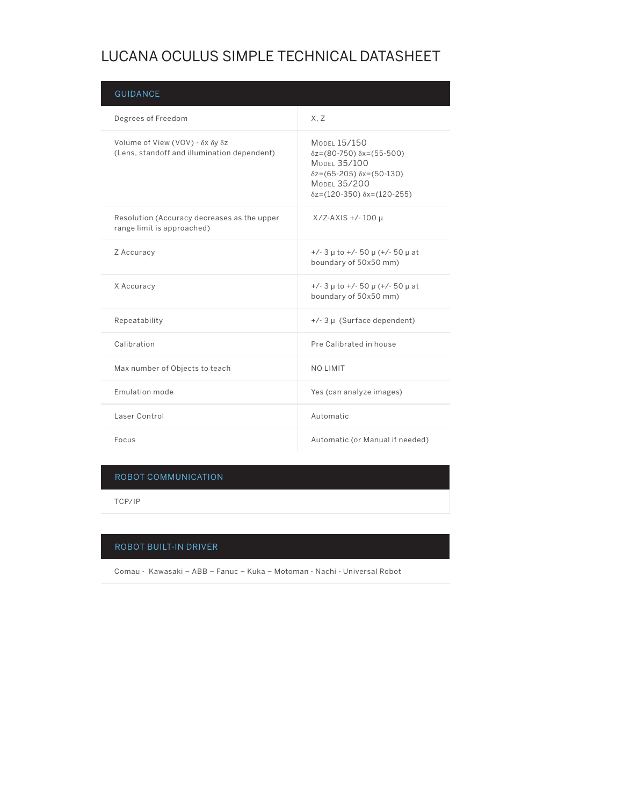## LUCANA OCULUS SIMPLE TECHNICAL DATASHEET

| <b>GUIDANCE</b>                                                                |                                                                                                                                                                                                                 |
|--------------------------------------------------------------------------------|-----------------------------------------------------------------------------------------------------------------------------------------------------------------------------------------------------------------|
| Degrees of Freedom                                                             | X.Z                                                                                                                                                                                                             |
| Volume of View (VOV) - δx δy δz<br>(Lens, standoff and illumination dependent) | MODEL 15/150<br>$\delta z = (80 - 750) \delta x = (55 - 500)$<br><b>MODEL 35/100</b><br>$\delta z = (65 - 205) \delta x = (50 - 130)$<br><b>MODEL 35/200</b><br>$\delta z = (120 - 350) \delta x = (120 - 255)$ |
| Resolution (Accuracy decreases as the upper<br>range limit is approached)      | $X/Z-AXIS +/- 100 \mu$                                                                                                                                                                                          |
| Z Accuracy                                                                     | $+/-$ 3 $\mu$ to $+/-$ 50 $\mu$ ( $+/-$ 50 $\mu$ at<br>boundary of 50x50 mm)                                                                                                                                    |
| X Accuracy                                                                     | $+/-$ 3 $\mu$ to $+/-$ 50 $\mu$ ( $+/-$ 50 $\mu$ at<br>boundary of 50x50 mm)                                                                                                                                    |
| Repeatability                                                                  | $+/-$ 3 µ (Surface dependent)                                                                                                                                                                                   |
| Calibration                                                                    | Pre Calibrated in house                                                                                                                                                                                         |
| Max number of Objects to teach                                                 | <b>NO LIMIT</b>                                                                                                                                                                                                 |
| Emulation mode                                                                 | Yes (can analyze images)                                                                                                                                                                                        |
| Laser Control                                                                  | Automatic                                                                                                                                                                                                       |
| Focus                                                                          | Automatic (or Manual if needed)                                                                                                                                                                                 |

## ROBOT COMMUNICATION

TCP/IP

## ROBOT BUILT-IN DRIVER

Comau - Kawasaki – ABB – Fanuc – Kuka – Motoman - Nachi - Universal Robot